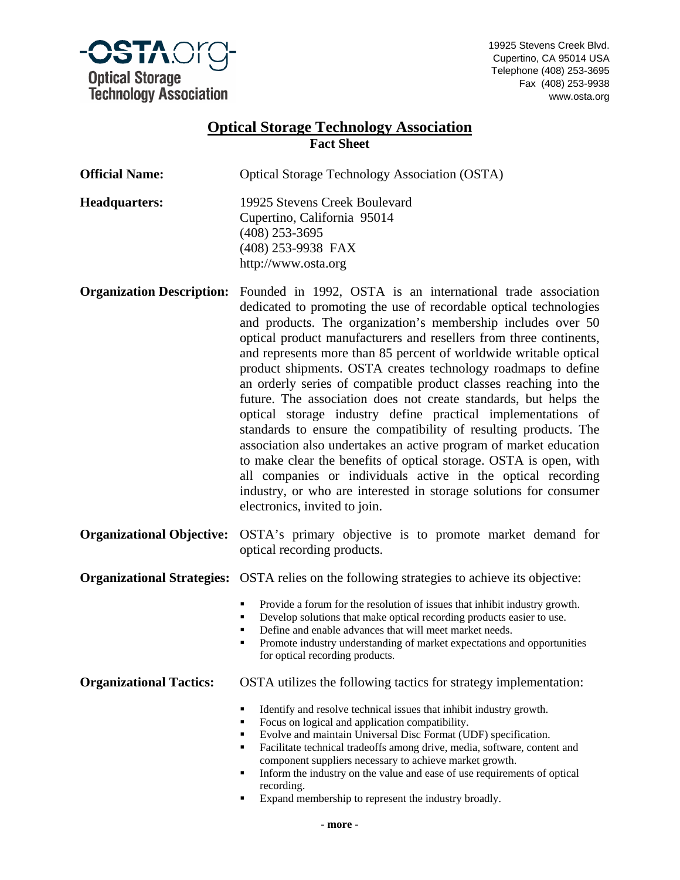

19925 Stevens Creek Blvd. Cupertino, CA 95014 USA Telephone (408) 253-3695 Fax (408) 253-9938 www.osta.org

## **Optical Storage Technology Association Fact Sheet**

| <b>Official Name:</b>             | <b>Optical Storage Technology Association (OSTA)</b>                                                                                                                                                                                                                                                                                                                                                                                                                                                                                                                                                                                                                                                                                                                                                                                                                                                                                                                                                      |  |  |
|-----------------------------------|-----------------------------------------------------------------------------------------------------------------------------------------------------------------------------------------------------------------------------------------------------------------------------------------------------------------------------------------------------------------------------------------------------------------------------------------------------------------------------------------------------------------------------------------------------------------------------------------------------------------------------------------------------------------------------------------------------------------------------------------------------------------------------------------------------------------------------------------------------------------------------------------------------------------------------------------------------------------------------------------------------------|--|--|
| <b>Headquarters:</b>              | 19925 Stevens Creek Boulevard<br>Cupertino, California 95014<br>$(408)$ 253-3695<br>(408) 253-9938 FAX<br>http://www.osta.org                                                                                                                                                                                                                                                                                                                                                                                                                                                                                                                                                                                                                                                                                                                                                                                                                                                                             |  |  |
| <b>Organization Description:</b>  | Founded in 1992, OSTA is an international trade association<br>dedicated to promoting the use of recordable optical technologies<br>and products. The organization's membership includes over 50<br>optical product manufacturers and resellers from three continents,<br>and represents more than 85 percent of worldwide writable optical<br>product shipments. OSTA creates technology roadmaps to define<br>an orderly series of compatible product classes reaching into the<br>future. The association does not create standards, but helps the<br>optical storage industry define practical implementations of<br>standards to ensure the compatibility of resulting products. The<br>association also undertakes an active program of market education<br>to make clear the benefits of optical storage. OSTA is open, with<br>all companies or individuals active in the optical recording<br>industry, or who are interested in storage solutions for consumer<br>electronics, invited to join. |  |  |
| <b>Organizational Objective:</b>  | OSTA's primary objective is to promote market demand for<br>optical recording products.                                                                                                                                                                                                                                                                                                                                                                                                                                                                                                                                                                                                                                                                                                                                                                                                                                                                                                                   |  |  |
| <b>Organizational Strategies:</b> | OSTA relies on the following strategies to achieve its objective:                                                                                                                                                                                                                                                                                                                                                                                                                                                                                                                                                                                                                                                                                                                                                                                                                                                                                                                                         |  |  |
|                                   | Provide a forum for the resolution of issues that inhibit industry growth.<br>٠<br>Develop solutions that make optical recording products easier to use.<br>٠<br>Define and enable advances that will meet market needs.<br>٠<br>Promote industry understanding of market expectations and opportunities<br>٠<br>for optical recording products.                                                                                                                                                                                                                                                                                                                                                                                                                                                                                                                                                                                                                                                          |  |  |
| <b>Organizational Tactics:</b>    | OSTA utilizes the following tactics for strategy implementation:                                                                                                                                                                                                                                                                                                                                                                                                                                                                                                                                                                                                                                                                                                                                                                                                                                                                                                                                          |  |  |
|                                   | Identify and resolve technical issues that inhibit industry growth.<br>٠<br>Focus on logical and application compatibility.<br>٠<br>Evolve and maintain Universal Disc Format (UDF) specification.<br>٠<br>Facilitate technical tradeoffs among drive, media, software, content and<br>٠<br>component suppliers necessary to achieve market growth.<br>Inform the industry on the value and ease of use requirements of optical<br>٠<br>recording.<br>Expand membership to represent the industry broadly.                                                                                                                                                                                                                                                                                                                                                                                                                                                                                                |  |  |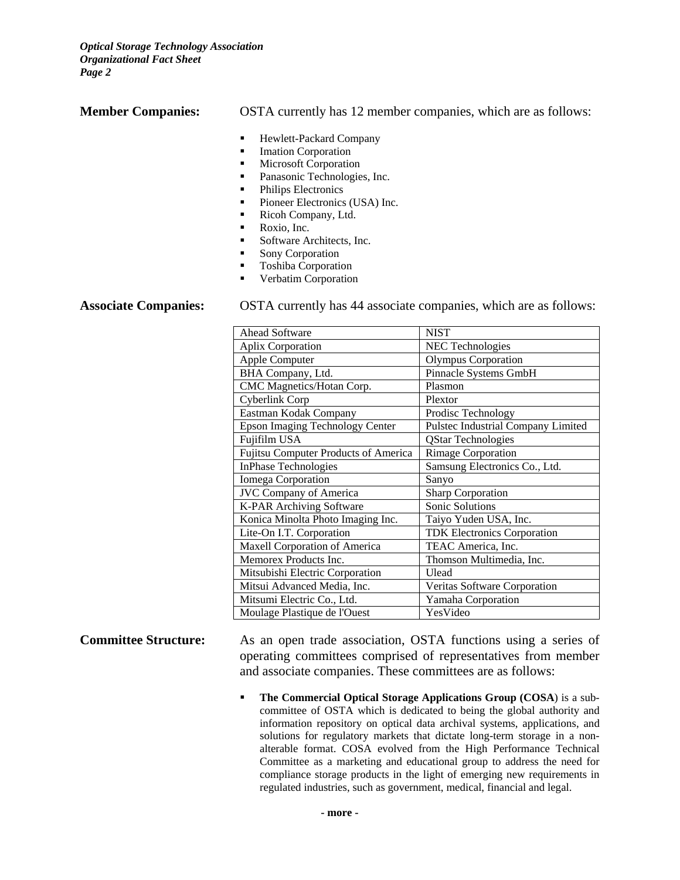*Optical Storage Technology Association Organizational Fact Sheet Page 2* 

**Member Companies:** OSTA currently has 12 member companies, which are as follows:

- **Hewlett-Packard Company**
- **Imation Corporation**
- **Microsoft Corporation**
- **•** Panasonic Technologies, Inc.
- Philips Electronics
- Pioneer Electronics (USA) Inc.
- Ricoh Company, Ltd.
- Roxio, Inc.
- Software Architects, Inc.
- **Sony Corporation**
- **Toshiba Corporation**
- **•** Verbatim Corporation

**Associate Companies:** OSTA currently has 44 associate companies, which are as follows:

| <b>Ahead Software</b>                       | <b>NIST</b>                        |
|---------------------------------------------|------------------------------------|
| <b>Aplix Corporation</b>                    | <b>NEC</b> Technologies            |
| Apple Computer                              | <b>Olympus Corporation</b>         |
| BHA Company, Ltd.                           | Pinnacle Systems GmbH              |
| CMC Magnetics/Hotan Corp.                   | Plasmon                            |
| Cyberlink Corp                              | Plextor                            |
| Eastman Kodak Company                       | Prodisc Technology                 |
| <b>Epson Imaging Technology Center</b>      | Pulstec Industrial Company Limited |
| Fujifilm USA                                | <b>QStar Technologies</b>          |
| <b>Fujitsu Computer Products of America</b> | <b>Rimage Corporation</b>          |
| <b>InPhase Technologies</b>                 | Samsung Electronics Co., Ltd.      |
| Iomega Corporation                          | Sanyo                              |
| <b>JVC Company of America</b>               | <b>Sharp Corporation</b>           |
| K-PAR Archiving Software                    | Sonic Solutions                    |
| Konica Minolta Photo Imaging Inc.           | Taiyo Yuden USA, Inc.              |
| Lite-On I.T. Corporation                    | <b>TDK Electronics Corporation</b> |
| <b>Maxell Corporation of America</b>        | TEAC America, Inc.                 |
| Memorex Products Inc.                       | Thomson Multimedia, Inc.           |
| Mitsubishi Electric Corporation             | Ulead                              |
| Mitsui Advanced Media, Inc.                 | Veritas Software Corporation       |
| Mitsumi Electric Co., Ltd.                  | Yamaha Corporation                 |
| Moulage Plastique de l'Ouest                | YesVideo                           |

**Committee Structure:** As an open trade association, OSTA functions using a series of operating committees comprised of representatives from member and associate companies. These committees are as follows:

> **The Commercial Optical Storage Applications Group (COSA)** is a subcommittee of OSTA which is dedicated to being the global authority and information repository on optical data archival systems, applications, and solutions for regulatory markets that dictate long-term storage in a nonalterable format. COSA evolved from the High Performance Technical Committee as a marketing and educational group to address the need for compliance storage products in the light of emerging new requirements in regulated industries, such as government, medical, financial and legal.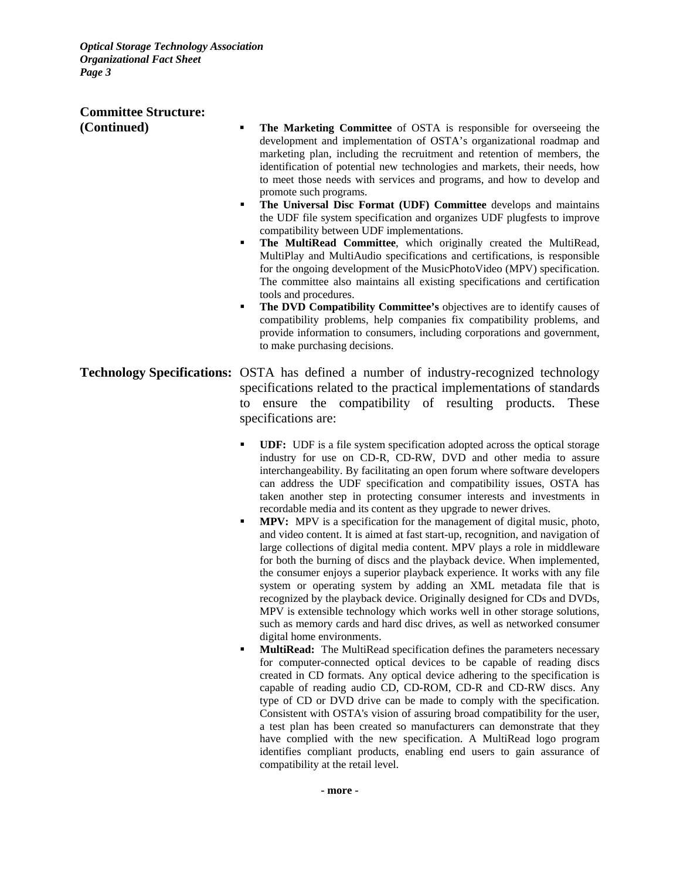*Optical Storage Technology Association Organizational Fact Sheet Page 3* 

# **Committee Structure:**

- **(Continued) ▪ The Marketing Committee** of OSTA is responsible for overseeing the development and implementation of OSTA's organizational roadmap and marketing plan, including the recruitment and retention of members, the identification of potential new technologies and markets, their needs, how to meet those needs with services and programs, and how to develop and promote such programs.
	- **The Universal Disc Format (UDF) Committee** develops and maintains the UDF file system specification and organizes UDF plugfests to improve compatibility between UDF implementations.
	- **The MultiRead Committee**, which originally created the MultiRead, MultiPlay and MultiAudio specifications and certifications, is responsible for the ongoing development of the MusicPhotoVideo (MPV) specification. The committee also maintains all existing specifications and certification tools and procedures.
	- **The DVD Compatibility Committee's** objectives are to identify causes of compatibility problems, help companies fix compatibility problems, and provide information to consumers, including corporations and government, to make purchasing decisions.
- **Technology Specifications:** OSTA has defined a number of industry-recognized technology specifications related to the practical implementations of standards to ensure the compatibility of resulting products. These specifications are:
	- **UDF:** UDF is a file system specification adopted across the optical storage industry for use on CD-R, CD-RW, DVD and other media to assure interchangeability. By facilitating an open forum where software developers can address the UDF specification and compatibility issues, OSTA has taken another step in protecting consumer interests and investments in recordable media and its content as they upgrade to newer drives.
	- **MPV:** MPV is a specification for the management of digital music, photo, and video content. It is aimed at fast start-up, recognition, and navigation of large collections of digital media content. MPV plays a role in middleware for both the burning of discs and the playback device. When implemented, the consumer enjoys a superior playback experience. It works with any file system or operating system by adding an XML metadata file that is recognized by the playback device. Originally designed for CDs and DVDs, MPV is extensible technology which works well in other storage solutions, such as memory cards and hard disc drives, as well as networked consumer digital home environments.
	- **MultiRead:** The MultiRead specification defines the parameters necessary for computer-connected optical devices to be capable of reading discs created in CD formats. Any optical device adhering to the specification is capable of reading audio CD, CD-ROM, CD-R and CD-RW discs. Any type of CD or DVD drive can be made to comply with the specification. Consistent with OSTA's vision of assuring broad compatibility for the user, a test plan has been created so manufacturers can demonstrate that they have complied with the new specification. A MultiRead logo program identifies compliant products, enabling end users to gain assurance of compatibility at the retail level.